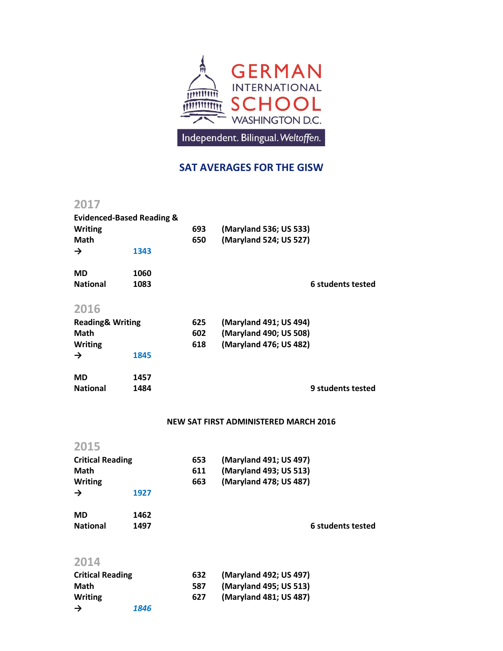

## **SAT AVERAGES FOR THE GISW**

## **2017**

| <b>Evidenced-Based Reading &amp;</b> |      |     |                        |                   |
|--------------------------------------|------|-----|------------------------|-------------------|
| <b>Writing</b>                       |      | 693 | (Maryland 536; US 533) |                   |
| <b>Math</b>                          |      | 650 | (Maryland 524; US 527) |                   |
| $\rightarrow$                        | 1343 |     |                        |                   |
| <b>MD</b>                            | 1060 |     |                        |                   |
| <b>National</b>                      | 1083 |     |                        | 6 students tested |
| 2016                                 |      |     |                        |                   |
| <b>Reading&amp; Writing</b>          |      | 625 | (Maryland 491; US 494) |                   |
| Math                                 |      | 602 | (Maryland 490; US 508) |                   |
| <b>Writing</b>                       |      | 618 | (Maryland 476; US 482) |                   |
| $\rightarrow$                        | 1845 |     |                        |                   |
| <b>MD</b>                            | 1457 |     |                        |                   |
| <b>National</b>                      | 1484 |     |                        | 9 students tested |

## **NEW SAT FIRST ADMINISTERED MARCH 2016**

| 2015                    |      |     |                        |
|-------------------------|------|-----|------------------------|
| <b>Critical Reading</b> |      | 653 | (Maryland 491; US 497) |
| Math                    |      | 611 | (Maryland 493; US 513) |
| <b>Writing</b>          |      | 663 | (Maryland 478; US 487) |
| $\rightarrow$           | 1927 |     |                        |
| <b>MD</b>               | 1462 |     |                        |
| <b>National</b>         | 1497 |     | 6 students tested      |
| 2014                    |      |     |                        |
| .                       |      |     |                        |

| <b>Critical Reading</b> |      | 632 | (Maryland 492; US 497) |
|-------------------------|------|-----|------------------------|
| Math                    |      | 587 | (Maryland 495; US 513) |
| <b>Writing</b>          |      | 627 | (Maryland 481; US 487) |
| →                       | 1846 |     |                        |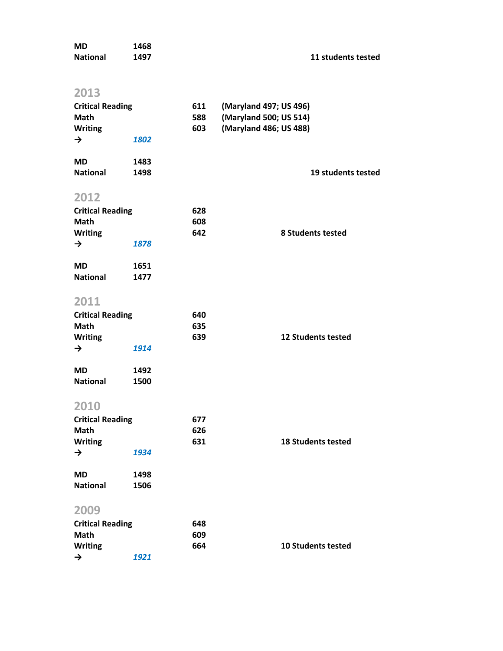| <b>MD</b><br><b>National</b> | 1468<br>1497 |            | 11 students tested        |
|------------------------------|--------------|------------|---------------------------|
|                              |              |            |                           |
| 2013                         |              |            |                           |
| <b>Critical Reading</b>      |              | 611        | (Maryland 497; US 496)    |
| Math                         |              | 588        | (Maryland 500; US 514)    |
| Writing<br>$\rightarrow$     | 1802         | 603        | (Maryland 486; US 488)    |
|                              |              |            |                           |
| <b>MD</b>                    | 1483         |            |                           |
| <b>National</b>              | 1498         |            | 19 students tested        |
|                              |              |            |                           |
| 2012                         |              |            |                           |
| <b>Critical Reading</b>      |              | 628        |                           |
| Math<br><b>Writing</b>       |              | 608<br>642 | <b>8 Students tested</b>  |
| $\rightarrow$                | 1878         |            |                           |
|                              |              |            |                           |
| <b>MD</b>                    | 1651         |            |                           |
| <b>National</b>              | 1477         |            |                           |
| 2011                         |              |            |                           |
| <b>Critical Reading</b>      |              | 640        |                           |
| Math                         |              | 635        |                           |
| <b>Writing</b>               |              | 639        | <b>12 Students tested</b> |
| $\rightarrow$                | 1914         |            |                           |
|                              |              |            |                           |
| <b>MD</b><br><b>National</b> | 1492         |            |                           |
|                              | 1500         |            |                           |
| 2010                         |              |            |                           |
| <b>Critical Reading</b>      |              | 677        |                           |
| Math                         |              | 626        |                           |
| <b>Writing</b>               |              | 631        | <b>18 Students tested</b> |
| $\rightarrow$                | 1934         |            |                           |
| <b>MD</b>                    | 1498         |            |                           |
| <b>National</b>              | 1506         |            |                           |
|                              |              |            |                           |
| 2009                         |              |            |                           |
| <b>Critical Reading</b>      |              | 648        |                           |
| Math                         |              | 609        |                           |
| <b>Writing</b>               |              | 664        | <b>10 Students tested</b> |
| $\rightarrow$                | 1921         |            |                           |